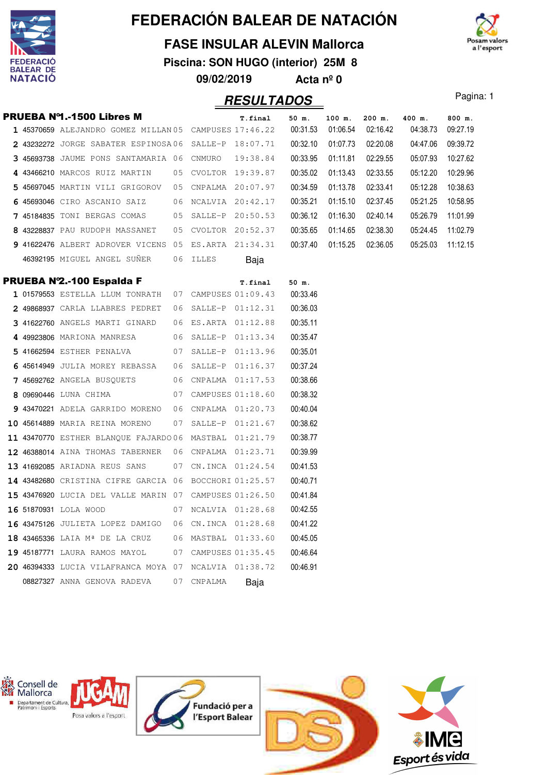

### **FASE INSULAR ALEVIN Mallorca**

**Piscina: SON HUGO (interior) 25M 8 09/02/2019 Acta nº 0**



#### **RESULTADOS** Pagina: 1 PRUEBA Nº1.-1500 Libres M **T.final 50 m. 100 m. 200 m. 400 m. 800 m. 1** 45370659 ALEJANDRO GOMEZ MILLAN 17:46.22 05 CAMPUSES 00:31.53 01:06.54 04:38.73 02:16.42 09:27.19  **2** 43232272 JORGE SABATER ESPINOSA 18:07.71 06 SALLE-P 00:32.10 01:07.73 04:47.06 02:20.08 09:39.72 **3** 45693738 JAUME PONS SANTAMARIA 06 CNMURO 19:38.84 00:33.95 01:11.81 02:29.55 05:07.93 10:27.62 4 43466210 MARCOS RUIZ MARTIN 05 CVOLTOR 19:39.87 00:35.02 01:13.43 02:33.55 05:12.20 10:29.96 5 45697045 MARTIN VILI GRIGOROV 05 CNPALMA 20:07.97 00:34.59 01:13.78 02:33.41 05:12.28 10:38.63  **6** 45693046 CIRO ASCANIO SAIZ 20:42.17 06 NCALVIA 00:35.21 01:15.10 05:21.25 02:37.45 10:58.95 **7** 45184835 TONI BERGAS COMAS 05 SALLE-P 20:50.53 00:36.12 01:16.30 02:40.14 05:26.79 11:01.99 **8** 43228837 PAU RUDOPH MASSANET 05 CVOLTOR 20:52.37 00:35.65 01:14.65 02:38.30 05:24.45 11:02.79  **9** 41622476 ALBERT ADROVER VICENS 21:34.31 05 ES.ARTA 00:37.40 01:15.25 05:25.03 02:36.05 11:12.15 46392195 MIGUEL ANGEL SUÑER 06 ILLES Baja **PRUEBA Nº2.-100 Espalda F** T.final 50 m. 1 01579553 ESTELLA LLUM TONRATH 07 CAMPUSES 01:09.43 00:33.46 **2** 49868937 CARLA LLABRES PEDRET 06 SALLE-P 01:12.31 00:36.03 **3** 41622760 ANGELS MARTI GINARD 06 ES.ARTA 01:12.88 00:35.11 4 49923806 MARIONA MANRESA 06 SALLE-P 01:13.34 00:35.47  **5** 41662594 ESTHER PENALVA 01:13.96 07 SALLE-P 00:35.01 6 45614949 JULIA MOREY REBASSA 06 SALLE-P 01:16.37 00:37.24 **7** 45692762 ANGELA BUSOUETS 06 CNPALMA 01:17.53 00:38.66 **8** 09690446 LUNA CHIMA 07 CAMPUSES 01:18.60 00:38.32 **9** 43470221 ADELA GARRIDO MORENO 06 CNPALMA 01:20.73 00:40.04  **10** 45614889 MARIA REINA MORENO 01:21.67 07 SALLE-P 00:38.62 **11 43470770 ESTHER BLANOUE FAJARDO 06 MASTBAL 01:21.79 00:38.77 12** 46388014 AINA THOMAS TABERNER 06 CNPALMA 01:23.71 00:39.99 13 41692085 ARIADNA REUS SANS 07 CN.INCA 01:24.54 00:41.53 **14** 43482680 CRISTINA CIFRE GARCIA 06 BOCCHORI 01:25.57 00:40.71 15 43476920 LUCIA DEL VALLE MARIN 07 CAMPUSES 01:26.50 00:41.84 **16** 51870931 LOLA WOOD 07 NCALVIA 01:28.68 00:42.55 **16** 43475126 JULIETA LOPEZ DAMIGO 06 CN.INCA 01:28.68 00:41.22 18 43465336 LAIA M<sup>ª</sup> DE LA CRUZ 06 MASTBAL 01:33.60 00:45.05  **19** 45187771 LAURA RAMOS MAYOL 01:35.45 07 CAMPUSES 00:46.64  **20** 46394333 LUCIA VILAFRANCA MOYA 01:38.72 07 NCALVIA 00:46.91 08827327 ANNA GENOVA RADEVA 07 CNPALMA Baja

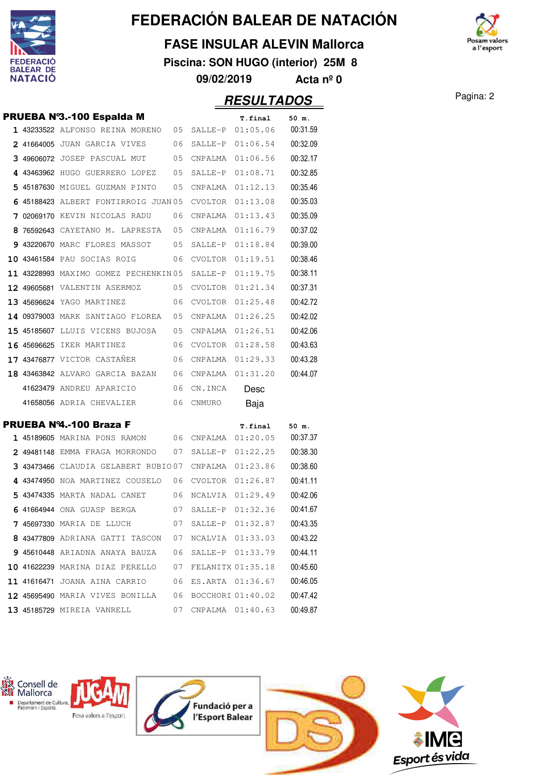

#### **FASE INSULAR ALEVIN Mallorca**

**Piscina: SON HUGO (interior) 25M 8**

**09/02/2019 Acta nº 0**

### Pagina: 2 **RESULTADOS**

|  | PRUEBA Nº3.-100 Espalda M                                         |    |         | T.final             | 50 m.    |
|--|-------------------------------------------------------------------|----|---------|---------------------|----------|
|  | 1 43233522 ALFONSO REINA MORENO 05                                |    |         | SALLE-P 01:05.06    | 00:31.59 |
|  | 2 41664005 JUAN GARCIA VIVES                                      | 06 | SALLE-P | 01:06.54            | 00:32.09 |
|  | 3 49606072 JOSEP PASCUAL MUT                                      | 05 | CNPALMA | 01:06.56            | 00:32.17 |
|  | 4 43463962 HUGO GUERRERO LOPEZ                                    | 05 | SALLE-P | 01:08.71            | 00:32.85 |
|  | 5 45187630 MIGUEL GUZMAN PINTO                                    | 05 | CNPALMA | 01:12.13            | 00:35.46 |
|  | 6 45188423 ALBERT FONTIRROIG JUAN 05                              |    | CVOLTOR | 01:13.08            | 00:35.03 |
|  | 7 02069170 KEVIN NICOLAS RADU                                     | 06 | CNPALMA | 01:13.43            | 00:35.09 |
|  | 8 76592643 CAYETANO M. LAPRESTA 05                                |    | CNPALMA | 01:16.79            | 00:37.02 |
|  | 9 43220670 MARC FLORES MASSOT 05                                  |    | SALLE-P | 01:18.84            | 00:39.00 |
|  | 10 43461584 PAU SOCIAS ROIG                                       | 06 | CVOLTOR | 01:19.51            | 00:38.46 |
|  | 11 43228993 MAXIMO GOMEZ PECHENKIN 05                             |    | SALLE-P | 01:19.75            | 00:38.11 |
|  | 12 49605681 VALENTIN ASERMOZ                                      | 05 | CVOLTOR | 01:21.34            | 00:37.31 |
|  | 13 45696624 YAGO MARTINEZ                                         | 06 | CVOLTOR | 01:25.48            | 00:42.72 |
|  | 14 09379003 MARK SANTIAGO FLOREA                                  | 05 | CNPALMA | 01:26.25            | 00:42.02 |
|  | 15 45185607 LLUIS VICENS BUJOSA                                   | 05 | CNPALMA | 01:26.51            | 00:42.06 |
|  | <b>16 45696625</b> IKER MARTINEZ                                  | 06 | CVOLTOR | 01:28.58            | 00:43.63 |
|  | 17 43476877 VICTOR CASTAÑER                                       | 06 | CNPALMA | 01:29.33            | 00:43.28 |
|  | 18 43463842 ALVARO GARCIA BAZAN 06                                |    | CNPALMA | 01:31.20            | 00:44.07 |
|  | 41623479 ANDREU APARICIO                                          | 06 | CN.INCA | Desc                |          |
|  | 41658056 ADRIA CHEVALIER                                          | 06 | CNMURO  | Baja                |          |
|  | PRUEBA Nº4.-100 Braza F                                           |    |         | T.final             | 50 m.    |
|  | 1 45189605 MARINA PONS RAMON                                      | 06 | CNPALMA | 01:20.05            | 00:37.37 |
|  | 2 49481148 EMMA FRAGA MORRONDO                                    | 07 | SALLE-P | 01:22.25            | 00:38.30 |
|  | 3 43473466 CLAUDIA GELABERT RUBIO07                               |    | CNPALMA | 01:23.86            | 00:38.60 |
|  | 4 43474950 NOA MARTINEZ COUSELO                                   | 06 | CVOLTOR | 01:26.87            | 00:41.11 |
|  | 5 43474335 MARTA NADAL CANET<br>06                                |    | NCALVIA | 01:29.49            | 00:42.06 |
|  | 6 41664944 ONA GUASP BERGA                                        | 07 | SALLE-P | 01:32.36            | 00:41.67 |
|  | $7\,$ 45697330 maria de lluch $1\,$ 07 salle-p $\,$ 01:32.87 $\,$ |    |         |                     | 00:43.35 |
|  | 8 43477809 ADRIANA GATTI TASCON 07 NCALVIA 01:33.03               |    |         |                     | 00:43.22 |
|  | 9 45610448 ARIADNA ANAYA BAUZA                                    | 06 |         | SALLE-P 01:33.79    | 00:44.11 |
|  | $10$ 41622239 MARINA DIAZ PERELLO $07$ FELANITX $01:35.18$        |    |         |                     | 00:45.60 |
|  | <b>11 41616471</b> JOANA AINA CARRIO                              |    |         | 06 ES.ARTA 01:36.67 | 00:46.05 |
|  | 12 45695490 MARIA VIVES BONILLA 06 BOCCHORI 01:40.02              |    |         |                     | 00:47.42 |
|  | 13 45185729 MIREIA VANRELL                                        | 07 |         | CNPALMA 01:40.63    | 00:49.87 |



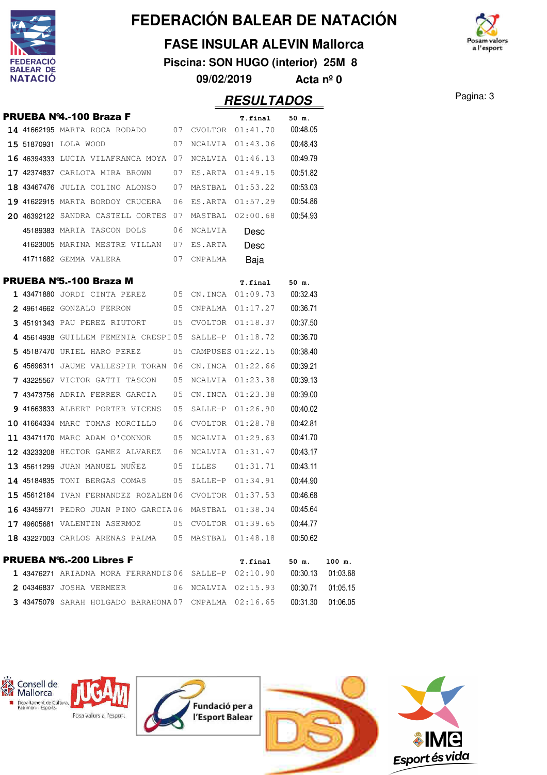

#### **FASE INSULAR ALEVIN Mallorca**

**Piscina: SON HUGO (interior) 25M 8**

n valors a l'esport

**09/02/2019 Acta nº 0**

### **RESULTADOS** Pagina: 3

|  | PRUEBA Nº4.-100 Braza F                                |    |                      | T.final             | 50 m.    |
|--|--------------------------------------------------------|----|----------------------|---------------------|----------|
|  | 14 41662195 MARTA ROCA RODADO 07 CVOLTOR 01:41.70      |    |                      |                     | 00:48.05 |
|  | 15 51870931 LOLA WOOD                                  |    |                      | 07 NCALVIA 01:43.06 | 00:48.43 |
|  | 16 46394333 LUCIA VILAFRANCA MOYA 07                   |    |                      | NCALVIA 01:46.13    | 00:49.79 |
|  | <b>17 42374837</b> CARLOTA MIRA BROWN                  | 07 |                      | ES.ARTA 01:49.15    | 00:51.82 |
|  | 18 43467476 JULIA COLINO ALONSO                        | 07 |                      | MASTBAL 01:53.22    | 00:53.03 |
|  | 19 41622915 MARTA BORDOY CRUCERA                       | 06 |                      | ES.ARTA 01:57.29    | 00:54.86 |
|  | 20 46392122 SANDRA CASTELL CORTES 07                   |    |                      | MASTBAL 02:00.68    | 00:54.93 |
|  | 45189383 MARIA TASCON DOLS                             | 06 | NCALVIA              | Desc                |          |
|  | 41623005 MARINA MESTRE VILLAN 07 ES.ARTA               |    |                      | Desc                |          |
|  | 07<br>41711682 GEMMA VALERA                            |    | CNPALMA              | Baja                |          |
|  | PRUEBA N'S.-100 Braza M                                |    |                      | T.final             | 50 m.    |
|  | 1 43471880 JORDI CINTA PEREZ 05 CN.INCA 01:09.73       |    |                      |                     | 00:32.43 |
|  | 2 49614662 GONZALO FERRON 05 CNPALMA 01:17.27          |    |                      |                     | 00:36.71 |
|  | $3$ 45191343 pau perez riutort $05$ cvoltor $01:18.37$ |    |                      |                     | 00:37.50 |
|  | 4 45614938 GUILLEM FEMENIA CRESPI05 SALLE-P 01:18.72   |    |                      |                     | 00:36.70 |
|  | 5 45187470 URIEL HARO PEREZ                            |    | 05 CAMPUSES 01:22.15 |                     | 00:38.40 |
|  | 6 45696311 JAUME VALLESPIR TORAN 06 CN.INCA 01:22.66   |    |                      |                     | 00:39.21 |
|  | 7 43225567 VICTOR GATTI TASCON                         | 05 |                      | NCALVIA 01:23.38    | 00:39.13 |
|  | 7 43473756 ADRIA FERRER GARCIA 05 CN.INCA 01:23.38     |    |                      |                     | 00:39.00 |
|  | 9 41663833 ALBERT PORTER VICENS 05                     |    |                      | SALLE-P 01:26.90    | 00:40.02 |
|  | 10 41664334 MARC TOMAS MORCILLO                        | 06 |                      | CVOLTOR 01:28.78    | 00:42.81 |
|  | 11 43471170 MARC ADAM O'CONNOR                         | 05 |                      | NCALVIA 01:29.63    | 00:41.70 |
|  | 12 43233208 HECTOR GAMEZ ALVAREZ                       | 06 |                      | NCALVIA 01:31.47    | 00:43.17 |
|  | 13 45611299 JUAN MANUEL NUÑEZ                          | 05 |                      |                     | 00:43.11 |
|  | 14 45184835 TONI BERGAS COMAS                          |    |                      | 05 SALLE-P 01:34.91 | 00:44.90 |
|  | 15 45612184 IVAN FERNANDEZ ROZALEN 06 CVOLTOR 01:37.53 |    |                      |                     | 00:46.68 |
|  |                                                        |    |                      |                     | 00:45.64 |
|  | 17 49605681 VALENTIN ASERMOZ 05 CVOLTOR 01:39.65       |    |                      |                     | 00:44.77 |
|  | 18 43227003 CARLOS ARENAS PALMA 05 MASTBAL 01:48.18    |    |                      |                     | 00:50.62 |
|  | <b>PRUEBA N'6.-200 Libres F</b>                        |    |                      | T.final             | 50 m.    |
|  | 1 43476271 ARIADNA MORA FERRANDIS06 SALLE-P 02:10.90   |    |                      |                     | 00:30.13 |

|                          | 1 43476271 ARIADNA MORA FERRANDIS06 SALLE-P 02:10.90  |                     | 00:30.13 01:03.68 |  |
|--------------------------|-------------------------------------------------------|---------------------|-------------------|--|
| 2 04346837 JOSHA VERMEER |                                                       | 06 NCALVIA 02:15.93 |                   |  |
|                          | 3 43475079 SARAH HOLGADO BARAHONA 07 CNPALMA 02:16.65 |                     |                   |  |

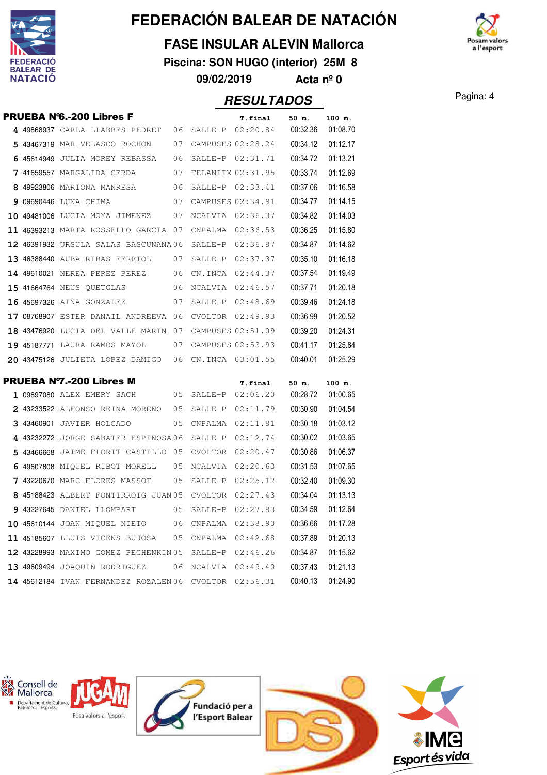

#### **FASE INSULAR ALEVIN Mallorca**

**Piscina: SON HUGO (interior) 25M 8**

**09/02/2019 Acta nº 0**

### Pagina: 4 **RESULTADOS**

|  | <b>PRUEBA N'6.-200 Libres F</b>       |     |                  | T.final                     | 50 m.             | 100 m.             |
|--|---------------------------------------|-----|------------------|-----------------------------|-------------------|--------------------|
|  | 4 49868937 CARLA LLABRES PEDRET       | 06  |                  | SALLE-P 02:20.84            | 00:32.36          | 01:08.70           |
|  | 5 43467319 MAR VELASCO ROCHON         | 07  |                  | CAMPUSES 02:28.24           | 00:34.12          | 01:12.17           |
|  | 6 45614949 JULIA MOREY REBASSA        | 06  |                  | SALLE-P 02:31.71            | 00:34.72          | 01:13.21           |
|  | 7 41659557 MARGALIDA CERDA            | 07  |                  | FELANITX 02:31.95           | 00:33.74          | 01:12.69           |
|  | 8 49923806 MARIONA MANRESA            | 06  |                  | SALLE-P 02:33.41            | 00:37.06          | 01:16.58           |
|  | 9 09690446 LUNA CHIMA                 | 07  |                  | CAMPUSES 02:34.91           | 00:34.77          | 01:14.15           |
|  | 10 49481006 LUCIA MOYA JIMENEZ        | 07  |                  | NCALVIA 02:36.37            | 00:34.82          | 01:14.03           |
|  | 11 46393213 MARTA ROSSELLO GARCIA 07  |     | CNPALMA          | 02:36.53                    | 00:36.25          | 01:15.80           |
|  | 12 46391932 URSULA SALAS BASCUÑANA 06 |     |                  | SALLE-P 02:36.87            | 00:34.87          | 01:14.62           |
|  | 13 46388440 AUBA RIBAS FERRIOL        | 07  | SALLE-P          | 02:37.37                    | 00:35.10          | 01:16.18           |
|  | 14 49610021 NEREA PEREZ PEREZ         | 06  | CN.INCA 02:44.37 |                             | 00:37.54          | 01:19.49           |
|  | <b>15 41664764 NEUS QUETGLAS</b>      | 06  | NCALVIA          | 02:46.57                    | 00:37.71          | 01:20.18           |
|  | 16 45697326 AINA GONZALEZ             | 07  |                  | SALLE-P 02:48.69            | 00:39.46          | 01:24.18           |
|  | 17 08768907 ESTER DANAIL ANDREEVA 06  |     |                  | CVOLTOR 02:49.93            | 00:36.99          | 01:20.52           |
|  | 18 43476920 LUCIA DEL VALLE MARIN 07  |     |                  | CAMPUSES 02:51.09           | 00:39.20          | 01:24.31           |
|  | 19 45187771 LAURA RAMOS MAYOL         | 07  |                  | CAMPUSES 02:53.93           | 00:41.17          | 01:25.84           |
|  | 20 43475126 JULIETA LOPEZ DAMIGO      | 06  |                  | CN.INCA 03:01.55            | 00:40.01          | 01:25.29           |
|  | <b>PRUEBA N7.-200 Libres M</b>        |     |                  |                             |                   |                    |
|  | 1 09897080 ALEX EMERY SACH            | 05  |                  | T.final<br>SALLE-P 02:06.20 | 50 m.<br>00:28.72 | 100 m.<br>01:00.65 |
|  | 2 43233522 ALFONSO REINA MORENO       | 05  |                  | SALLE-P 02:11.79            | 00:30.90          | 01:04.54           |
|  | 3 43460901 JAVIER HOLGADO             | 05  |                  | CNPALMA  02:11.81           | 00:30.18          | 01:03.12           |
|  | 4 43232272 JORGE SABATER ESPINOSA06   |     | SALLE-P          | 02:12.74                    | 00:30.02          | 01:03.65           |
|  | 5 43466668 JAIME FLORIT CASTILLO 05   |     | CVOLTOR          | 02:20.47                    | 00:30.86          | 01:06.37           |
|  | 6 49607808 MIQUEL RIBOT MORELL        | 05  | NCALVIA          | 02:20.63                    | 00:31.53          | 01:07.65           |
|  | 7 43220670 MARC FLORES MASSOT         | 05  | SALLE-P          | 02:25.12                    | 00:32.40          | 01:09.30           |
|  | 8 45188423 ALBERT FONTIRROIG JUAN 05  |     | CVOLTOR          | 02:27.43                    | 00:34.04          | 01:13.13           |
|  | 9 43227645 DANIEL LLOMPART            | 05  | SALLE-P          | 02:27.83                    | 00:34.59          | 01:12.64           |
|  | 10 45610144 JOAN MIQUEL NIETO         | 06  |                  | CNPALMA 02:38.90            | 00:36.66          | 01:17.28           |
|  | 11 45185607 LLUIS VICENS BUJOSA       | 0.5 | CNPALMA          | 02:42.68                    | 00:37.89          | 01:20.13           |

12 43228993 MAXIMO GOMEZ PECHENKIN 05 SALLE-P 02:46.26 00:34.87 01:15.62 49609494 JOAQUIN RODRIGUEZ 06 NCALVIA 02:49.40 00:37.43 01:21.13 14 45612184 IVAN FERNANDEZ ROZALEN 06 CVOLTOR 02:56.31 00:40.13 01:24.90



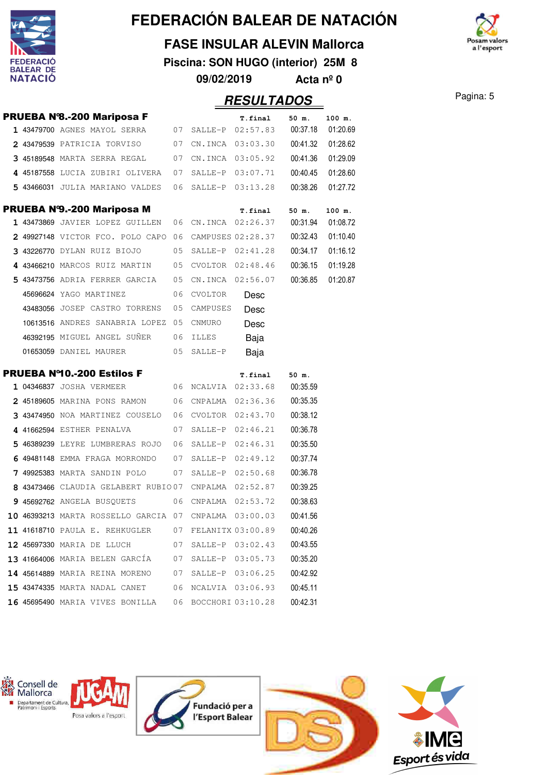

#### **FASE INSULAR ALEVIN Mallorca**

**Piscina: SON HUGO (interior) 25M 8 09/02/2019 Acta nº 0**



Pagina: 5 **RESULTADOS**

|  |                                                                |    |            | . . <i>.</i> .               |          |          |
|--|----------------------------------------------------------------|----|------------|------------------------------|----------|----------|
|  | <b>PRUEBA Nº8.-200 Mariposa F</b>                              |    |            | T.final                      | 50 m.    | 100 m.   |
|  | 1 43479700 AGNES MAYOL SERRA 07 SALLE-P 02:57.83 00:37.18      |    |            |                              |          | 01:20.69 |
|  | 2 43479539 PATRICIA TORVISO 07 CN.INCA 03:03.30 00:41.32       |    |            |                              |          | 01:28.62 |
|  | 3 45189548 MARTA SERRA REGAL 07 CN.INCA 03:05.92               |    |            |                              | 00:41.36 | 01:29.09 |
|  | 4 45187558 LUCIA ZUBIRI OLIVERA 07 SALLE-P 03:07.71            |    |            |                              | 00:40.45 | 01:28.60 |
|  | 5 43466031 JULIA MARIANO VALDES 06 SALLE-P 03:13.28            |    |            |                              | 00:38.26 | 01:27.72 |
|  | PRUEBA Nº9.-200 Mariposa M                                     |    |            | T.final                      | 50 m.    | 100 m.   |
|  | 1 43473869 JAVIER LOPEZ GUILLEN 06 CN.INCA 02:26.37 00:31.94   |    |            |                              |          | 01:08.72 |
|  | 2 49927148 VICTOR FCO. POLO CAPO 06 CAMPUSES 02:28.37          |    |            |                              | 00:32.43 | 01:10.40 |
|  | 3 43226770 dylan ruiz biojo                                    |    |            | 05 SALLE-P 02:41.28          | 00:34.17 | 01:16.12 |
|  | 4 43466210 MARCOS RUIZ MARTIN 05 CVOLTOR 02:48.46              |    |            |                              | 00:36.15 | 01:19.28 |
|  | 5 43473756 ADRIA FERRER GARCIA 05 CN.INCA 02:56.07             |    |            |                              | 00:36.85 | 01:20.87 |
|  | 45696624 YAGO MARTINEZ                                         | 06 | CVOLTOR    | Desc                         |          |          |
|  | 43483056 JOSEP CASTRO TORRENS 05 CAMPUSES                      |    |            | Desc                         |          |          |
|  | 10613516 ANDRES SANABRIA LOPEZ 05 CNMURO                       |    |            | Desc                         |          |          |
|  | 46392195 MIGUEL ANGEL SUÑER 06 ILLES                           |    |            | Baja                         |          |          |
|  | 01653059 DANIEL MAURER                                         |    | 05 SALLE-P | Baja                         |          |          |
|  | <b>PRUEBA Nº10.-200 Estilos F</b>                              |    |            | <b>T.final</b>               |          |          |
|  | 1 04346837 JOSHA VERMEER                                       |    |            | 06 NCALVIA 02:33.68 00:35.59 | 50 m.    |          |
|  | 2 45189605 MARINA PONS RAMON 06 CNPALMA 02:36.36               |    |            |                              | 00:35.35 |          |
|  | 3 43474950 NOA MARTINEZ COUSELO 06 CVOLTOR 02:43.70            |    |            |                              | 00:38.12 |          |
|  | 4 41662594 Esther penalva                                      |    |            | 07 SALLE-P 02:46.21          | 00:36.78 |          |
|  | 5 46389239 LEYRE LUMBRERAS ROJO 06 SALLE-P 02:46.31            |    |            |                              | 00:35.50 |          |
|  | 6 49481148 EMMA FRAGA MORRONDO 07 SALLE-P $02:49.12$           |    |            |                              | 00:37.74 |          |
|  | <b>7 49925383</b> MARTA SANDIN POLO                            |    |            | 07 SALLE-P 02:50.68          | 00:36.78 |          |
|  | 8 43473466 CLAUDIA GELABERT RUBIO07 CNPALMA 02:52.87           |    |            |                              | 00:39.25 |          |
|  | 9 45692762 ANGELA BUSQUETS 06 CNPALMA 02:53.72                 |    |            |                              | 00:38.63 |          |
|  | 10 46393213 MARTA ROSSELLO GARCIA 07 CNPALMA 03:00.03 00:41.56 |    |            |                              |          |          |
|  | 11 41618710 PAULA E. REHKUGLER 07 FELANITX 03:00.89            |    |            |                              | 00:40.26 |          |
|  | 12 45697330 MARIA DE LLUCH                                     |    |            | 07 SALLE-P 03:02.43          | 00:43.55 |          |
|  | 13 41664006 MARIA BELEN GARCÍA 07 SALLE-P 03:05.73             |    |            |                              | 00:35.20 |          |
|  | 14 45614889 MARIA REINA MORENO 07 SALLE-P 03:06.25             |    |            |                              | 00:42.92 |          |
|  | 15 43474335 MARTA NADAL CANET                                  |    |            | 06 NCALVIA 03:06.93          | 00:45.11 |          |
|  | 16 45695490 MARIA VIVES BONILLA 06 BOCCHORI 03:10.28           |    |            |                              | 00:42.31 |          |
|  |                                                                |    |            |                              |          |          |

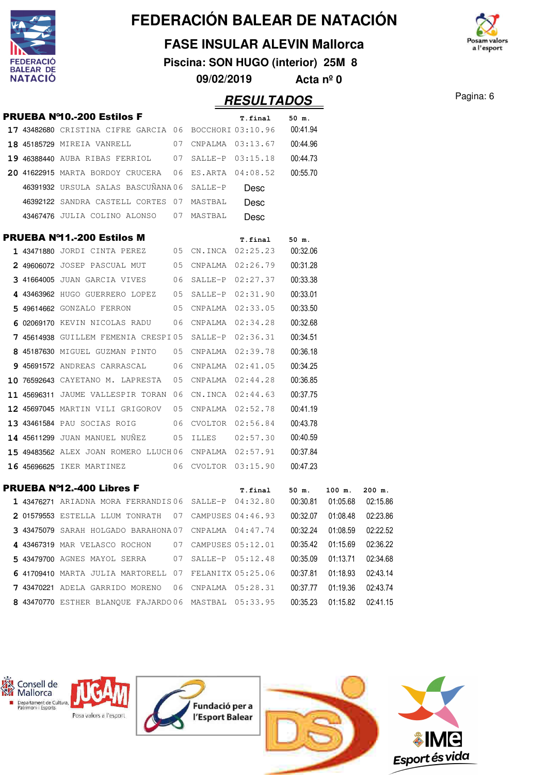

W

### **FEDERACIÓN BALEAR DE NATACIÓN**

#### **FASE INSULAR ALEVIN Mallorca**

**Piscina: SON HUGO (interior) 25M 8**

**09/02/2019 Acta nº 0**



**PECULTADOS** Pagina: 6

|  |                                                                          |    |                      | KESULIADUS          |          |          |          |
|--|--------------------------------------------------------------------------|----|----------------------|---------------------|----------|----------|----------|
|  | <b>PRUEBA Nº10.-200 Estilos F</b>                                        |    |                      | T.final             | 50 m.    |          |          |
|  | 17 43482680 CRISTINA CIFRE GARCIA 06 BOCCHORI 03:10.96  00:41.94         |    |                      |                     |          |          |          |
|  | 18 45185729 MIREIA VANRELL 07 CNPALMA 03:13.67 00:44.96                  |    |                      |                     |          |          |          |
|  | 19 46388440 AUBA RIBAS FERRIOL 07 SALLE-P 03:15.18 00:44.73              |    |                      |                     |          |          |          |
|  | 20 41622915 MARTA BORDOY CRUCERA 06 ES.ARTA 04:08.52                     |    |                      |                     | 00:55.70 |          |          |
|  | 46391932 URSULA SALAS BASCUÑANA06 SALLE-P                                |    |                      | Desc                |          |          |          |
|  | 46392122 SANDRA CASTELL CORTES 07 MASTBAL                                |    |                      | Desc                |          |          |          |
|  | 43467476 JULIA COLINO ALONSO 07 MASTBAL Desc                             |    |                      |                     |          |          |          |
|  | <b>PRUEBA Nº11.-200 Estilos M</b>                                        |    |                      | T.final             | 50 m.    |          |          |
|  | 1 43471880 JORDI CINTA PEREZ 05 CN.INCA 02:25.23 00:32.06                |    |                      |                     |          |          |          |
|  | 2 49606072 JOSEP PASCUAL MUT 05 CNPALMA 02:26.79 00:31.28                |    |                      |                     |          |          |          |
|  | $3$ 41664005 juan garcia vives $06$ salle-p $02:27.37$                   |    |                      |                     | 00:33.38 |          |          |
|  | 4 43463962 hugo guerrero lopez - 05 salle-p 02:31.90                     |    |                      |                     | 00:33.01 |          |          |
|  | 5 49614662 GONZALO FERRON 05 CNPALMA 02:33.05                            |    |                      |                     | 00:33.50 |          |          |
|  | 6 02069170 KEVIN NICOLAS RADU $\qquad$ 06 CNPALMA 02:34.28               |    |                      |                     | 00:32.68 |          |          |
|  | 7 45614938 GUILLEM FEMENIA CRESPI05 SALLE-P 02:36.31                     |    |                      |                     | 00:34.51 |          |          |
|  | 8 45187630 MIGUEL GUZMAN PINTO 05 CNPALMA 02:39.78                       |    |                      |                     | 00:36.18 |          |          |
|  | 9 45691572 ANDREAS CARRASCAL     06 CNPALMA 02:41.05                     |    |                      |                     | 00:34.25 |          |          |
|  | 10 76592643 CAYETANO M. LAPRESTA $05$ CNPALMA $02:44.28$                 |    |                      |                     | 00:36.85 |          |          |
|  |                                                                          |    |                      |                     | 00:37.75 |          |          |
|  | 12 45697045 MARTIN VILI GRIGOROV 05 CNPALMA 02:52.78                     |    |                      |                     | 00:41.19 |          |          |
|  | 13 43461584 PAU SOCIAS ROIG 06 CVOLTOR 02:56.84                          |    |                      |                     | 00:43.78 |          |          |
|  | 14 45611299 JUAN MANUEL NUÑEZ 05 ILLES 02:57.30                          |    |                      |                     | 00:40.59 |          |          |
|  | 15 49483562 ALEX JOAN ROMERO LLUCH06 CNPALMA 02:57.91 00:37.84           |    |                      |                     |          |          |          |
|  | 16 45696625 IKER MARTINEZ 06 CVOLTOR 03:15.90                            |    |                      |                     | 00:47.23 |          |          |
|  | <b>PRUEBA Nº12.-400 Libres F</b>                                         |    |                      | T.final             | 50 m.    | 100 m.   | $200$ m. |
|  | 1 43476271 ARIADNA MORA FERRANDIS06 SALLE-P 04:32.80  00:30.81  01:05.68 |    |                      |                     |          |          | 02:15.86 |
|  | 2 01579553 ESTELLA LLUM TONRATH                                          | 07 | CAMPUSES 04:46.93    |                     | 00:32.07 | 01:08.48 | 02:23.86 |
|  | 3 43475079 SARAH HOLGADO BARAHONA 07 CNPALMA 04:47.74                    |    |                      |                     | 00:32.24 | 01:08.59 | 02:22.52 |
|  | 4 43467319 MAR VELASCO ROCHON                                            |    | 07 CAMPUSES 05:12.01 |                     | 00:35.42 | 01:15.69 | 02:36.22 |
|  | 5 43479700 AGNES MAYOL SERRA                                             | 07 | SALLE-P 05:12.48     |                     | 00:35.09 | 01:13.71 | 02:34.68 |
|  | 6 41709410 MARTA JULIA MARTORELL 07 FELANITX 05:25.06                    |    |                      |                     | 00:37.81 | 01:18.93 | 02:43.14 |
|  | 7 43470221 ADELA GARRIDO MORENO                                          |    |                      | 06 CNPALMA 05:28.31 | 00:37.77 | 01:19.36 | 02:43.74 |
|  | 8 43470770 ESTHER BLANQUE FAJARDO06 MASTBAL 05:33.95                     |    |                      |                     | 00:35.23 | 01:15.82 | 02:41.15 |
|  |                                                                          |    |                      |                     |          |          |          |

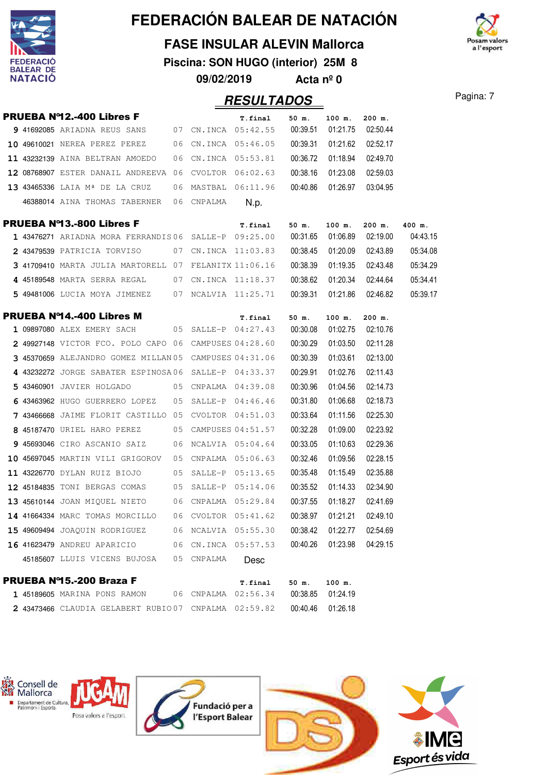

#### **FASE INSULAR ALEVIN Mallorca**

**Piscina: SON HUGO (interior) 25M 8 09/02/2019 Acta nº 0**

a l'esport

**RESULTADOS** Pagina: 7

|  | <b>PRUEBA Nº12.-400 Libres F</b>                         |    |                  | T.final          | 50 m.    | 100 m.   | 200 m.              |          |
|--|----------------------------------------------------------|----|------------------|------------------|----------|----------|---------------------|----------|
|  | 9 41692085 ARIADNA REUS SANS 07 CN.INCA 05:42.55         |    |                  |                  | 00:39.51 | 01:21.75 | 02:50.44            |          |
|  | 10 49610021 NEREA PEREZ PEREZ 06 CN.INCA 05:46.05        |    |                  |                  | 00:39.31 | 01:21.62 | 02:52.17            |          |
|  | 11 43232139 AINA BELTRAN AMOEDO 06 CN.INCA 05:53.81      |    |                  |                  | 00:36.72 | 01:18.94 | 02:49.70            |          |
|  | 12 08768907 ESTER DANAIL ANDREEVA 06 CVOLTOR 06:02.63    |    |                  |                  | 00:38.16 |          | 01:23.08 02:59.03   |          |
|  | 13 43465336 LAIA Mª DE LA CRUZ 06 MASTBAL 06:11.96       |    |                  |                  | 00:40.86 |          | 01:26.97 03:04.95   |          |
|  | 46388014 AINA THOMAS TABERNER 06 CNPALMA                 |    |                  | N.p.             |          |          |                     |          |
|  | <b>PRUEBA Nº13.-800 Libres F</b>                         |    |                  | T.final          | 50 m.    | $100$ m. | $200$ m.            | 400 m.   |
|  | 1 43476271 ARIADNA MORA FERRANDIS06 SALLE-P 09:25.00     |    |                  |                  | 00:31.65 | 01:06.89 | 02:19.00            | 04:43.15 |
|  | 2 43479539 PATRICIA TORVISO         07  CN.INCA 11:03.83 |    |                  |                  | 00:38.45 |          | 01:20.09   02:43.89 | 05:34.08 |
|  | $3$ 41709410 MARTA JULIA MARTORELL 07 FELANITX 11:06.16  |    |                  |                  | 00:38.39 |          | 01:19.35 02:43.48   | 05:34.29 |
|  | 4 45189548 MARTA SERRA REGAL     07 CN.INCA 11:18.37     |    |                  |                  | 00:38.62 |          | 01:20.34 02:44.64   | 05:34.41 |
|  | 5 49481006 LUCIA MOYA JIMENEZ 07 NCALVIA 11:25.71        |    |                  |                  | 00:39.31 |          | 01:21.86 02:46.82   | 05:39.17 |
|  | PRUEBA Nº14.-400 Libres M                                |    |                  | T.final          | 50 m.    | 100 m.   | 200 m.              |          |
|  | 1 09897080 ALEX EMERY SACH 05 SALLE-P 04:27.43           |    |                  |                  | 00:30.08 | 01:02.75 | 02:10.76            |          |
|  | $2$ 49927148 victor FCO. Polo capo 06 campuses 04:28.60  |    |                  |                  | 00:30.29 | 01:03.50 | 02:11.28            |          |
|  | 3 45370659 ALEJANDRO GOMEZ MILLAN 05 CAMPUSES 04:31.06   |    |                  |                  | 00:30.39 | 01:03.61 | 02:13.00            |          |
|  | 4 43232272 JORGE SABATER ESPINOSA06 SALLE-P 04:33.37     |    |                  |                  | 00:29.91 | 01:02.76 | 02:11.43            |          |
|  | 5 43460901 JAVIER HOLGADO           05 CNPALMA 04:39.08  |    |                  |                  | 00:30.96 | 01:04.56 | 02:14.73            |          |
|  | 6 43463962 HUGO GUERRERO LOPEZ 05 SALLE-P 04:46.46       |    |                  |                  | 00:31.80 | 01:06.68 | 02:18.73            |          |
|  | 7 43466668 JAIME FLORIT CASTILLO 05 CVOLTOR 04:51.03     |    |                  |                  | 00:33.64 | 01:11.56 | 02:25.30            |          |
|  | 8 45187470 URIEL HARO PEREZ 05 CAMPUSES 04:51.57         |    |                  |                  | 00:32.28 | 01:09.00 | 02:23.92            |          |
|  | 9 45693046 CIRO ASCANIO SAIZ 06 NCALVIA 05:04.64         |    |                  |                  | 00:33.05 | 01:10.63 | 02:29.36            |          |
|  | $10$ 45697045 MARTIN VILI GRIGOROV 05 CNPALMA 05:06.63   |    |                  |                  | 00:32.46 | 01:09.56 | 02:28.15            |          |
|  | 11 43226770 DYLAN RUIZ BIOJO 05 SALLE-P 05:13.65         |    |                  |                  | 00:35.48 | 01:15.49 | 02:35.88            |          |
|  | 12 45184835 TONI BERGAS COMAS 05 SALLE-P 05:14.06        |    |                  |                  | 00:35.52 | 01:14.33 | 02:34.90            |          |
|  | 13 45610144 JOAN MIQUEL NIETO 6 CNPALMA 05:29.84         |    |                  |                  | 00:37.55 | 01:18.27 | 02:41.69            |          |
|  | 14 41664334 MARC TOMAS MORCILLO 06 CVOLTOR 05:41.62      |    |                  |                  | 00:38.97 | 01:21.21 | 02:49.10            |          |
|  | 15 49609494 JOAQUIN RODRIGUEZ                            | 06 | NCALVIA 05:55.30 |                  | 00:38.42 | 01:22.77 | 02:54.69            |          |
|  | 16 41623479 ANDREU APARICIO                              | 06 |                  | CN.INCA 05:57.53 | 00:40.26 | 01:23.98 | 04:29.15            |          |
|  | 45185607 LLUIS VICENS BUJOSA                             | 05 | CNPALMA          | Desc             |          |          |                     |          |
|  | <b>PRUEBA Nº15.-200 Braza F</b>                          |    |                  | T.final          | 50 m.    | 100 m.   |                     |          |
|  | 1 45189605 MARINA PONS RAMON                             | 06 | CNPALMA          | 02:56.34         | 00:38.85 | 01:24.19 |                     |          |

2 43473466 CLAUDIA GELABERT RUBIO 07 CNPALMA 02:59.82 00:40.46 01:26.18

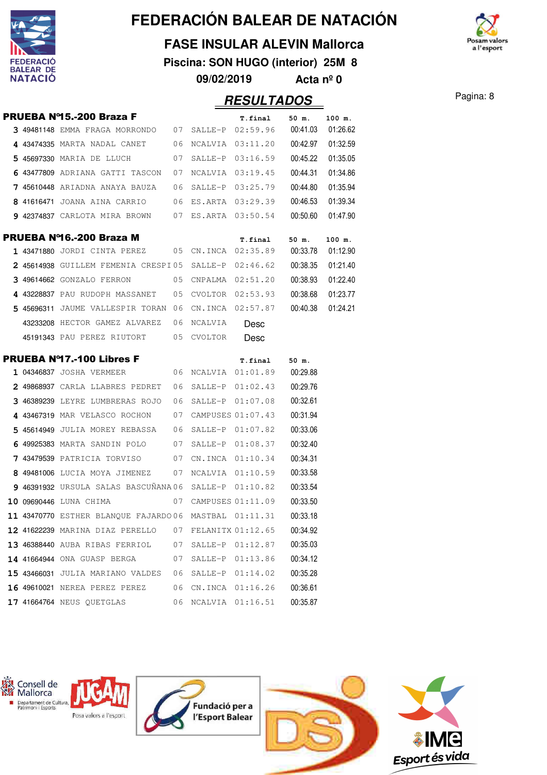

W

### **FEDERACIÓN BALEAR DE NATACIÓN**

#### **FASE INSULAR ALEVIN Mallorca**

**Piscina: SON HUGO (interior) 25M 8**

**09/02/2019 Acta nº 0**



Pagina: 8 **RESULTADOS**

|  |                                                          |    |         | ,,,,,,,,,,,,,,,,     |          |          |
|--|----------------------------------------------------------|----|---------|----------------------|----------|----------|
|  | <b>PRUEBA Nº15.-200 Braza F</b>                          |    |         | T.final              | 50 m.    | 100 m.   |
|  | $3$ 49481148 EMMA FRAGA MORRONDO $07$ SALLE-P $02:59.96$ |    |         |                      | 00:41.03 | 01:26.62 |
|  | 4 43474335 MARTA NADAL CANET                             | 06 |         | NCALVIA 03:11.20     | 00:42.97 | 01:32.59 |
|  | 5 45697330 MARIA DE LLUCH                                | 07 |         | SALLE-P 03:16.59     | 00:45.22 | 01:35.05 |
|  | 6 43477809 ADRIANA GATTI TASCON                          | 07 |         | NCALVIA 03:19.45     | 00:44.31 | 01:34.86 |
|  | <b>7 45610448</b> ARIADNA ANAYA BAUZA                    | 06 |         | SALLE-P 03:25.79     | 00:44.80 | 01:35.94 |
|  | 8 41616471 JOANA AINA CARRIO                             | 06 |         | ES.ARTA 03:29.39     | 00:46.53 | 01:39.34 |
|  | 9 42374837 CARLOTA MIRA BROWN 07 ES.ARTA 03:50.54        |    |         |                      | 00:50.60 | 01:47.90 |
|  | PRUEBA Nº16.-200 Braza M                                 |    |         | T.final              | 50 m.    | 100 m.   |
|  | 1 43471880 JORDI CINTA PEREZ 05 CN.INCA 02:35.89         |    |         |                      | 00:33.78 | 01:12.90 |
|  | 2 45614938 GUILLEM FEMENIA CRESPI05 SALLE-P 02:46.62     |    |         |                      | 00:38.35 | 01:21.40 |
|  | $3$ 49614662 gonzalo ferron $05$ cnpalma $02:51.20$      |    |         |                      | 00:38.93 | 01:22.40 |
|  | 4 43228837 PAU RUDOPH MASSANET 05                        |    |         | CVOLTOR 02:53.93     | 00:38.68 | 01:23.77 |
|  | 5 45696311 JAUME VALLESPIR TORAN 06                      |    |         | CN.INCA 02:57.87     | 00:40.38 | 01:24.21 |
|  | 43233208 HECTOR GAMEZ ALVAREZ 06                         |    | NCALVIA | Desc                 |          |          |
|  | 45191343 PAU PEREZ RIUTORT 05 CVOLTOR                    |    |         | Desc                 |          |          |
|  | <b>PRUEBA Nº17.-100 Libres F</b>                         |    |         | T.final              | 50 m.    |          |
|  | <b>1 04346837</b> JOSHA VERMEER                          |    |         | 06 NCALVIA 01:01.89  | 00:29.88 |          |
|  | 2 49868937 CARLA LLABRES PEDRET                          | 06 |         | $SALLE-P$ $01:02.43$ | 00:29.76 |          |
|  | 3 46389239 LEYRE LUMBRERAS ROJO                          | 06 |         | $SALLE-P$ $01:07.08$ | 00:32.61 |          |
|  | 4 43467319 MAR VELASCO ROCHON                            | 07 |         | CAMPUSES 01:07.43    | 00:31.94 |          |
|  | 5 45614949 JULIA MOREY REBASSA    06                     |    |         | SALLE-P 01:07.82     | 00:33.06 |          |
|  | 6 49925383 MARTA SANDIN POLO                             | 07 |         | SALLE-P 01:08.37     | 00:32.40 |          |
|  | 7 43479539 PATRICIA TORVISO                              | 07 |         | CN.INCA 01:10.34     | 00:34.31 |          |
|  | 8 49481006 LUCIA MOYA JIMENEZ 07                         |    |         | NCALVIA 01:10.59     | 00:33.58 |          |
|  | $946391932$ URSULA SALAS BASCUÑANA06 SALLE-P $01:10.82$  |    |         |                      | 00:33.54 |          |
|  | 10 09690446 LUNA CHIMA 2007 CAMPUSES 01:11.09            |    |         |                      | 00:33.50 |          |
|  | 11 43470770 ESTHER BLANQUE FAJARDO06 MASTBAL 01:11.31    |    |         |                      | 00:33.18 |          |
|  | 12 41622239 MARINA DIAZ PERELLO                          | 07 |         | FELANITX 01:12.65    | 00:34.92 |          |
|  | 13 46388440 AUBA RIBAS FERRIOL 07                        |    |         | $SALLE-P$ $01:12.87$ | 00:35.03 |          |
|  | 14 41664944 ONA GUASP BERGA                              | 07 |         | SALLE-P 01:13.86     | 00:34.12 |          |
|  | 15 43466031 JULIA MARIANO VALDES 06                      |    |         | $SALLE-P$ $01:14.02$ | 00:35.28 |          |
|  | 16 49610021 NEREA PEREZ PEREZ                            | 06 |         | CN.INCA 01:16.26     | 00:36.61 |          |
|  | <b>17 41664764</b> NEUS QUETGLAS                         | 06 |         | NCALVIA 01:16.51     | 00:35.87 |          |
|  |                                                          |    |         |                      |          |          |

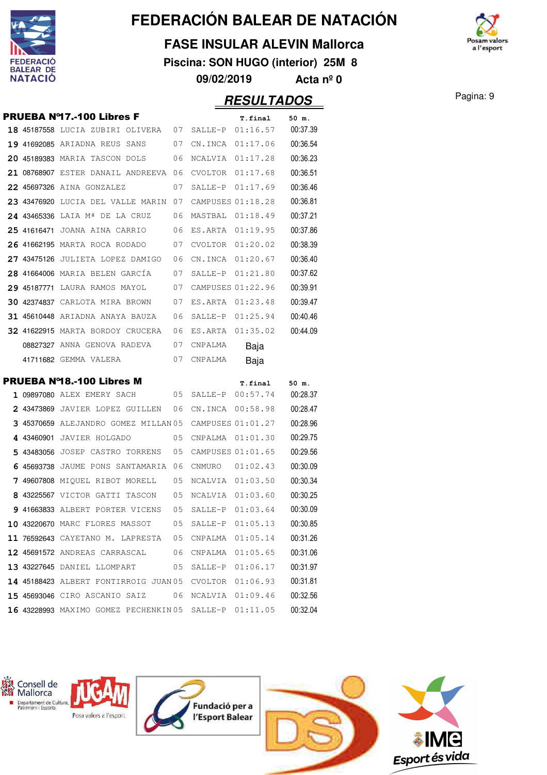

#### **FASE INSULAR ALEVIN Mallorca**

**Piscina: SON HUGO (interior) 25M 8**

**09/02/2019 Acta nº 0**



**RESULTADOS** Pagina: 9

|  | <b>PRUEBA Nº17.-100 Libres F</b>                         |      |                   | T.final                        | 50 m.             |
|--|----------------------------------------------------------|------|-------------------|--------------------------------|-------------------|
|  | 18 45187558 LUCIA ZUBIRI OLIVERA 07 SALLE-P 01:16.57     |      |                   |                                | 00:37.39          |
|  | 07<br>19 41692085 ARIADNA REUS SANS                      |      |                   | CN.INCA 01:17.06               | 00:36.54          |
|  | 20 45189383 MARIA TASCON DOLS<br>06                      |      |                   | NCALVIA 01:17.28               | 00:36.23          |
|  | 21 08768907 ESTER DANAIL ANDREEVA 06                     |      |                   | CVOLTOR $01:17.68$             | 00:36.51          |
|  | <b>22 45697326</b> AINA GONZALEZ                         | 07   |                   | SALLE-P 01:17.69               | 00:36.46          |
|  | 23 43476920 LUCIA DEL VALLE MARIN 07                     |      | CAMPUSES 01:18.28 |                                | 00:36.81          |
|  | 24 43465336 LAIA Mª DE LA CRUZ 06                        |      |                   | MASTBAL 01:18.49               | 00:37.21          |
|  | 25 41616471 JOANA AINA CARRIO 06                         |      | ES.ARTA 01:19.95  |                                | 00:37.86          |
|  | 26 41662195 MARTA ROCA RODADO 07                         |      | CVOLTOR 01:20.02  |                                | 00:38.39          |
|  | 27 43475126 JULIETA LOPEZ DAMIGO                         | - 06 | CN.INCA 01:20.67  |                                | 00:36.40          |
|  | 28 41664006 MARIA BELEN GARCÍA 07                        |      |                   | SALLE-P 01:21.80               | 00:37.62          |
|  | 29 45187771 LAURA RAMOS MAYOL 07 CAMPUSES 01:22.96       |      |                   |                                | 00:39.91          |
|  | <b>30 42374837</b> CARLOTA MIRA BROWN 07                 |      |                   | ES.ARTA 01:23.48               | 00:39.47          |
|  | 31 45610448 ARIADNA ANAYA BAUZA 06                       |      |                   | SALLE-P 01:25.94               | 00:40.46          |
|  | 32 41622915 MARTA BORDOY CRUCERA 06                      |      |                   | ES.ARTA 01:35.02               | 00:44.09          |
|  | 08827327 ANNA GENOVA RADEVA 07                           |      | CNPALMA           | Baja                           |                   |
|  | 41711682 gemma valera                                    | 07   | CNPALMA           | Baja                           |                   |
|  |                                                          |      |                   |                                |                   |
|  | <b>PRUEBA Nº18.-100 Libres M</b>                         |      |                   |                                |                   |
|  | 1 09897080 ALEX EMERY SACH                               |      |                   | T.final<br>05 SALLE-P 00:57.74 | 50 m.<br>00:28.37 |
|  | 2 43473869 JAVIER LOPEZ GUILLEN 06                       |      |                   | CN.INCA 00:58.98               | 00:28.47          |
|  | $3$ 45370659 ALEJANDRO GOMEZ MILLAN 05 CAMPUSES 01:01.27 |      |                   |                                | 00:28.96          |
|  | 4 43460901 JAVIER HOLGADO                                | 05   |                   | CNPALMA 01:01.30               | 00:29.75          |
|  | 5 43483056 JOSEP CASTRO TORRENS 05                       |      | CAMPUSES 01:01.65 |                                | 00:29.56          |
|  | 6 45693738 JAUME PONS SANTAMARIA 06                      |      |                   | CNMURO 01:02.43                | 00:30.09          |
|  | 7 49607808 MIQUEL RIBOT MORELL 05                        |      | NCALVIA 01:03.50  |                                | 00:30.34          |
|  | 8 43225567 VICTOR GATTI TASCON 05                        |      |                   | NCALVIA 01:03.60               | 00:30.25          |
|  | 9 41663833 ALBERT PORTER VICENS 05                       |      | SALLE-P 01:03.64  |                                | 00:30.09          |
|  | 10 43220670 MARC FLORES MASSOT 05 SALLE-P 01:05.13       |      |                   |                                | 00:30.85          |
|  | $11$ 76592643 CAYETANO M. LAPRESTA 05 CNPALMA 01:05.14   |      |                   |                                | 00:31.26          |
|  | 12 45691572 ANDREAS CARRASCAL 06 CNPALMA 01:05.65        |      |                   |                                | 00:31.06          |
|  | 13 43227645 DANIEL LLOMPART                              |      |                   | 05 SALLE-P 01:06.17            | 00:31.97          |
|  | 14 45188423 ALBERT FONTIRROIG JUAN 05 CVOLTOR 01:06.93   |      |                   |                                | 00:31.81          |
|  | 15 45693046 CIRO ASCANIO SAIZ 06 NCALVIA 01:09.46        |      |                   |                                | 00:32.56          |

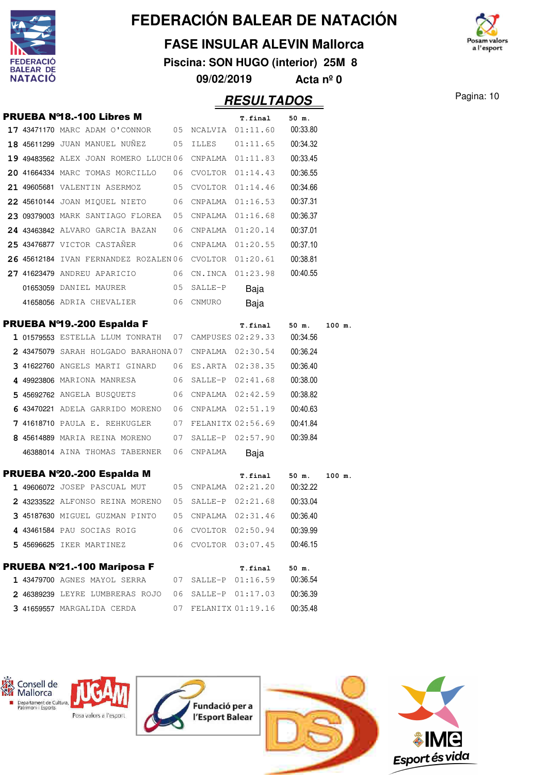

#### **FASE INSULAR ALEVIN Mallorca**

**Piscina: SON HUGO (interior) 25M 8**

**09/02/2019 Acta nº 0**



Pagina: 10

|  |                                                              |            | <b>RESULTADOS</b>   |          |        |
|--|--------------------------------------------------------------|------------|---------------------|----------|--------|
|  | <b>PRUEBA Nº18.-100 Libres M</b>                             |            | <b>T.final</b>      | 50 m.    |        |
|  | 17 43471170 MARC ADAM O'CONNOR 05 NCALVIA 01:11.60           |            |                     | 00:33.80 |        |
|  | 18 45611299 JUAN MANUEL NUÑEZ 05 ILLES                       |            | 01:11.65            | 00:34.32 |        |
|  | 19 49483562 ALEX JOAN ROMERO LLUCH06 CNPALMA 01:11.83        |            |                     | 00:33.45 |        |
|  | 20 41664334 MARC TOMAS MORCILLO 06 CVOLTOR 01:14.43          |            |                     | 00:36.55 |        |
|  | 21 49605681 VALENTIN ASERMOZ 05 CVOLTOR 01:14.46             |            |                     | 00:34.66 |        |
|  | 22 45610144 JOAN MIQUEL NIETO 06 CNPALMA 01:16.53            |            |                     | 00:37.31 |        |
|  | 23 09379003 MARK SANTIAGO FLOREA 05 CNPALMA 01:16.68         |            |                     | 00:36.37 |        |
|  | 24 43463842 ALVARO GARCIA BAZAN 06 CNPALMA 01:20.14          |            |                     | 00:37.01 |        |
|  | 25 43476877 VICTOR CASTAÑER                                  |            | 06 CNPALMA 01:20.55 | 00:37.10 |        |
|  | 26 45612184 IVAN FERNANDEZ ROZALEN06 CVOLTOR 01:20.61        |            |                     | 00:38.81 |        |
|  | <b>27 41623479</b> ANDREU APARICIO $06$ CN.INCA $01:23.98$   |            |                     | 00:40.55 |        |
|  | 01653059 DANIEL MAURER                                       | 05 SALLE-P | Baja                |          |        |
|  | 41658056 ADRIA CHEVALIER                                     | 06 CNMURO  | Baja                |          |        |
|  | PRUEBA Nº19.-200 Espalda F                                   |            | <b>T.final</b>      | 50 m.    | 100 m. |
|  | 1 01579553 ESTELLA LLUM TONRATH  07 CAMPUSES 02:29.33        |            |                     | 00:34.56 |        |
|  | $2$ 43475079 SARAH HOLGADO BARAHONA 07 CNPALMA 02:30.54      |            |                     | 00:36.24 |        |
|  | 3 41622760 ANGELS MARTI GINARD 06 ES.ARTA 02:38.35           |            |                     | 00:36.40 |        |
|  | 4 49923806 MARIONA MANRESA 66 SALLE-P 02:41.68               |            |                     | 00:38.00 |        |
|  | 5 45692762 ANGELA BUSQUETS 06 CNPALMA 02:42.59               |            |                     | 00:38.82 |        |
|  | 6 43470221 ADELA GARRIDO MORENO 06 CNPALMA 02:51.19          |            |                     | 00:40.63 |        |
|  | 7 41618710 PAULA E. REHKUGLER 07 FELANITX 02:56.69           |            |                     | 00:41.84 |        |
|  | 8 45614889 MARIA REINA MORENO 07 SALLE-P 02:57.90            |            |                     | 00:39.84 |        |
|  | 46388014 AINA THOMAS TABERNER 06 CNPALMA                     |            | Baja                |          |        |
|  | PRUEBA N'20.-200 Espalda M                                   |            | T.final             | 50 m.    | 100 m. |
|  | 1 49606072 JOSEP PASCUAL MUT 05 CNPALMA 02:21.20             |            |                     | 00:32.22 |        |
|  | 2 43233522 ALFONSO REINA MORENO                              |            | 05 SALLE-P 02:21.68 | 00:33.04 |        |
|  | 3 45187630 MIGUEL GUZMAN PINTO 05 CNPALMA 02:31.46           |            |                     | 00:36.40 |        |
|  | 4 43461584 PAU SOCIAS ROIG 6 06 CVOLTOR 02:50.94             |            |                     | 00:39.99 |        |
|  | 5 45696625 IKER MARTINEZ 66 CVOLTOR 03:07.45                 |            |                     | 00:46.15 |        |
|  | PRUEBA Nº21.-100 Mariposa F                                  |            | <b>T.final</b>      | 50 m.    |        |
|  | 1 43479700 AGNES MAYOL SERRA 07 SALLE-P 01:16.59 00:36.54    |            |                     |          |        |
|  |                                                              |            |                     |          |        |
|  | 2 46389239 LEYRE LUMBRERAS ROJO 06 SALLE-P 01:17.03 00:36.39 |            |                     |          |        |

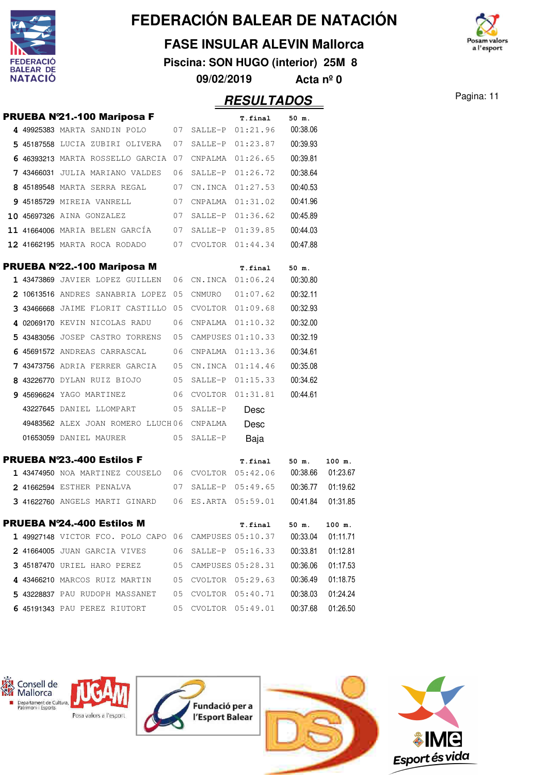

#### **FASE INSULAR ALEVIN Mallorca**

**Piscina: SON HUGO (interior) 25M 8**



#### **RESULTADOS** Pagina: 11

**09/02/2019 Acta nº 0**

|  | PRUEBA Nº21.-100 Mariposa F                                  |    |         | T.final              | $50$ m.  |          |
|--|--------------------------------------------------------------|----|---------|----------------------|----------|----------|
|  | 4 49925383 MARTA SANDIN POLO 07 SALLE-P 01:21.96 00:38.06    |    |         |                      |          |          |
|  | 5 45187558 LUCIA ZUBIRI OLIVERA 07                           |    |         | SALLE-P 01:23.87     | 00:39.93 |          |
|  | 6 46393213 MARTA ROSSELLO GARCIA 07                          |    |         | CNPALMA 01:26.65     | 00:39.81 |          |
|  | 7 43466031 JULIA MARIANO VALDES                              | 06 |         | SALLE-P 01:26.72     | 00:38.64 |          |
|  | 8 45189548 MARTA SERRA REGAL                                 | 07 |         | CN.INCA 01:27.53     | 00:40.53 |          |
|  | 9 45185729 MIREIA VANRELL                                    | 07 |         | CNPALMA 01:31.02     | 00:41.96 |          |
|  | 10 45697326 AINA GONZALEZ                                    | 07 |         | SALLE-P 01:36.62     | 00:45.89 |          |
|  | 11 41664006 MARIA BELEN GARCÍA 07                            |    |         | SALLE-P 01:39.85     | 00:44.03 |          |
|  | 12 41662195 MARTA ROCA RODADO 07 CVOLTOR 01:44.34            |    |         |                      | 00:47.88 |          |
|  | PRUEBA N°22.-100 Mariposa M                                  |    |         |                      |          |          |
|  | 1 43473869 JAVIER LOPEZ GUILLEN 06 CN.INCA 01:06.24 00:30.80 |    |         | T.final              | 50 m.    |          |
|  | 2 10613516 ANDRES SANABRIA LOPEZ 05                          |    |         | CNMURO 01:07.62      | 00:32.11 |          |
|  | 3 43466668 JAIME FLORIT CASTILLO 05                          |    |         | CVOLTOR 01:09.68     | 00:32.93 |          |
|  | 4 02069170 KEVIN NICOLAS RADU                                | 06 |         | CNPALMA  01:10.32    | 00:32.00 |          |
|  | 5 43483056 JOSEP CASTRO TORRENS                              |    |         | 05 CAMPUSES 01:10.33 | 00:32.19 |          |
|  | 6 45691572 ANDREAS CARRASCAL                                 | 06 |         | CNPALMA 01:13.36     | 00:34.61 |          |
|  | 7 43473756 ADRIA FERRER GARCIA                               | 05 |         | CN.INCA 01:14.46     | 00:35.08 |          |
|  | 8 43226770 DYLAN RUIZ BIOJO 05                               |    |         | SALLE-P 01:15.33     | 00:34.62 |          |
|  | 9 45696624 YAGO MARTINEZ 06                                  |    |         | CVOLTOR 01:31.81     | 00:44.61 |          |
|  | 43227645 DANIEL LLOMPART                                     | 05 | SALLE-P | Desc                 |          |          |
|  | 49483562 ALEX JOAN ROMERO LLUCH06 CNPALMA                    |    |         | Desc                 |          |          |
|  | 01653059 DANIEL MAURER                                       | 05 | SALLE-P | Baja                 |          |          |
|  |                                                              |    |         |                      |          |          |
|  | <b>PRUEBA Nº23.-400 Estilos F</b>                            |    |         | T.final 50 m.        |          | 100 m.   |
|  | 1 43474950 NOA MARTINEZ COUSELO 06 CVOLTOR 05:42.06 00:38.66 |    |         |                      |          | 01:23.67 |
|  | 2 41662594 ESTHER PENALVA                                    | 07 |         | SALLE-P 05:49.65     | 00:36.77 | 01:19.62 |

|            | <b>PRUEBA Nº24.-400 Estilos M</b>                     |     |                   | T.final   | 50 m.    | 100 m.   |
|------------|-------------------------------------------------------|-----|-------------------|-----------|----------|----------|
|            | 1 49927148 VICTOR FCO. POLO CAPO 06 CAMPUSES 05:10.37 |     |                   |           | 00:33.04 | 01:11.71 |
|            | 2 41664005 JUAN GARCIA VIVES                          | 06  | $SATJ.F-P$        | 05:16.33  | 00:33.81 | 01:12.81 |
| 3 45187470 | URIEL HARO PEREZ                                      | 0.5 | CAMPUSES 05:28.31 |           | 00:36.06 | 01:17.53 |
|            | 4 43466210 MARCOS RUIZ MARTIN                         | 0.5 | CVOLTOR 05:29.63  |           | 00:36.49 | 01:18.75 |
| 5 43228837 | PAU RUDOPH MASSANET                                   | 0.5 | CVOLTOR           | 0.5:40.71 | 00:38.03 | 01:24.24 |
|            | 6 45191343 PAU PEREZ<br>RIUTORT                       | 0.5 | CVOLTOR.          | 05:49.01  | 00:37.68 | 01:26.50 |

41622760 ANGELS MARTI GINARD 05:59.01 06 ES.ARTA 00:41.84 01:31.85